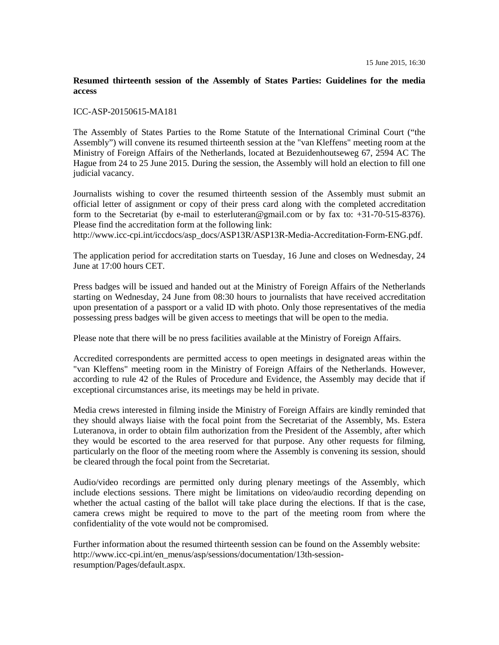## **Resumed thirteenth session of the Assembly of States Parties: Guidelines for the media access**

## ICC-ASP-20150615-MA181

The Assembly of States Parties to the Rome Statute of the International Criminal Court ("the Assembly") will convene its resumed thirteenth session at the "van Kleffens" meeting room at the Ministry of Foreign Affairs of the Netherlands, located at Bezuidenhoutseweg 67, 2594 AC The Hague from 24 to 25 June 2015. During the session, the Assembly will hold an election to fill one judicial vacancy.

Journalists wishing to cover the resumed thirteenth session of the Assembly must submit an official letter of assignment or copy of their press card along with the completed accreditation form to the Secretariat (by e-mail to esterluteran@gmail.com or by fax to: +31-70-515-8376). Please find the accreditation form at the following link:

http://www.icc-cpi.int/iccdocs/asp\_docs/ASP13R/ASP13R-Media-Accreditation-Form-ENG.pdf.

The application period for accreditation starts on Tuesday, 16 June and closes on Wednesday, 24 June at 17:00 hours CET.

Press badges will be issued and handed out at the Ministry of Foreign Affairs of the Netherlands starting on Wednesday, 24 June from 08:30 hours to journalists that have received accreditation upon presentation of a passport or a valid ID with photo. Only those representatives of the media possessing press badges will be given access to meetings that will be open to the media.

Please note that there will be no press facilities available at the Ministry of Foreign Affairs.

Accredited correspondents are permitted access to open meetings in designated areas within the "van Kleffens" meeting room in the Ministry of Foreign Affairs of the Netherlands. However, according to rule 42 of the Rules of Procedure and Evidence, the Assembly may decide that if exceptional circumstances arise, its meetings may be held in private.

Media crews interested in filming inside the Ministry of Foreign Affairs are kindly reminded that they should always liaise with the focal point from the Secretariat of the Assembly, Ms. Estera Luteranova, in order to obtain film authorization from the President of the Assembly, after which they would be escorted to the area reserved for that purpose. Any other requests for filming, particularly on the floor of the meeting room where the Assembly is convening its session, should be cleared through the focal point from the Secretariat.

Audio/video recordings are permitted only during plenary meetings of the Assembly, which include elections sessions. There might be limitations on video/audio recording depending on whether the actual casting of the ballot will take place during the elections. If that is the case, camera crews might be required to move to the part of the meeting room from where the confidentiality of the vote would not be compromised.

Further information about the resumed thirteenth session can be found on the Assembly website: http://www.icc-cpi.int/en\_menus/asp/sessions/documentation/13th-sessionresumption/Pages/default.aspx.